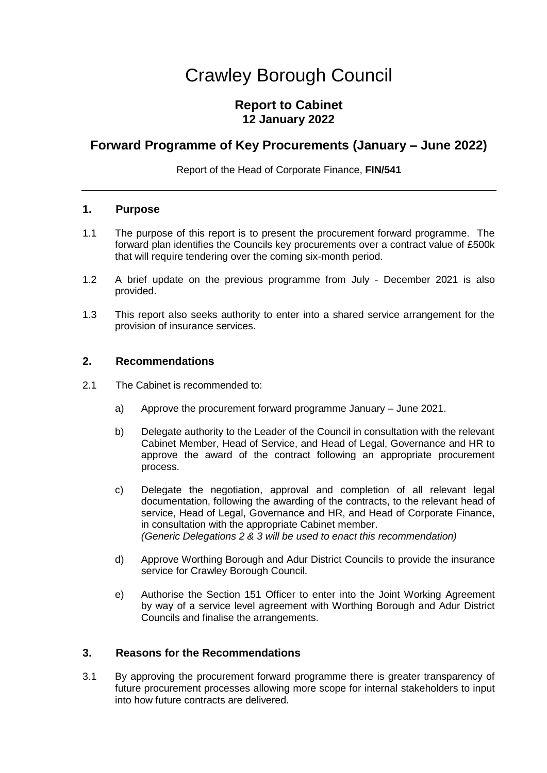# Crawley Borough Council

# **Report to Cabinet 12 January 2022**

# **Forward Programme of Key Procurements (January – June 2022)**

Report of the Head of Corporate Finance, **FIN/541**

## **1. Purpose**

- 1.1 The purpose of this report is to present the procurement forward programme. The forward plan identifies the Councils key procurements over a contract value of £500k that will require tendering over the coming six-month period.
- 1.2 A brief update on the previous programme from July December 2021 is also provided.
- 1.3 This report also seeks authority to enter into a shared service arrangement for the provision of insurance services.

## **2. Recommendations**

- 2.1 The Cabinet is recommended to:
	- a) Approve the procurement forward programme January June 2021.
	- b) Delegate authority to the Leader of the Council in consultation with the relevant Cabinet Member, Head of Service, and Head of Legal, Governance and HR to approve the award of the contract following an appropriate procurement process.
	- c) Delegate the negotiation, approval and completion of all relevant legal documentation, following the awarding of the contracts, to the relevant head of service, Head of Legal, Governance and HR, and Head of Corporate Finance, in consultation with the appropriate Cabinet member. *(Generic Delegations 2 & 3 will be used to enact this recommendation)*
	- d) Approve Worthing Borough and Adur District Councils to provide the insurance service for Crawley Borough Council.
	- e) Authorise the Section 151 Officer to enter into the Joint Working Agreement by way of a service level agreement with Worthing Borough and Adur District Councils and finalise the arrangements.

### **3. Reasons for the Recommendations**

3.1 By approving the procurement forward programme there is greater transparency of future procurement processes allowing more scope for internal stakeholders to input into how future contracts are delivered.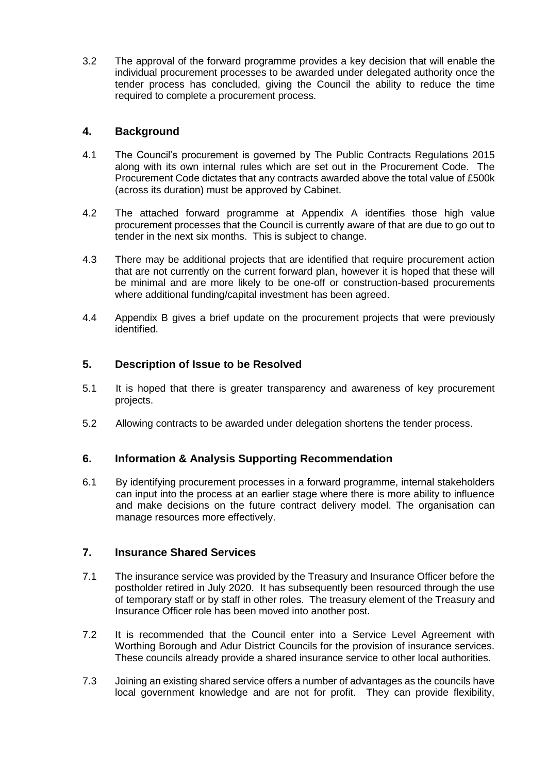3.2 The approval of the forward programme provides a key decision that will enable the individual procurement processes to be awarded under delegated authority once the tender process has concluded, giving the Council the ability to reduce the time required to complete a procurement process.

# **4. Background**

- 4.1 The Council's procurement is governed by The Public Contracts Regulations 2015 along with its own internal rules which are set out in the Procurement Code. The Procurement Code dictates that any contracts awarded above the total value of £500k (across its duration) must be approved by Cabinet.
- 4.2 The attached forward programme at Appendix A identifies those high value procurement processes that the Council is currently aware of that are due to go out to tender in the next six months. This is subject to change.
- 4.3 There may be additional projects that are identified that require procurement action that are not currently on the current forward plan, however it is hoped that these will be minimal and are more likely to be one-off or construction-based procurements where additional funding/capital investment has been agreed.
- 4.4 Appendix B gives a brief update on the procurement projects that were previously identified.

# **5. Description of Issue to be Resolved**

- 5.1 It is hoped that there is greater transparency and awareness of key procurement projects.
- 5.2 Allowing contracts to be awarded under delegation shortens the tender process.

### **6. Information & Analysis Supporting Recommendation**

6.1 By identifying procurement processes in a forward programme, internal stakeholders can input into the process at an earlier stage where there is more ability to influence and make decisions on the future contract delivery model. The organisation can manage resources more effectively.

### **7. Insurance Shared Services**

- 7.1 The insurance service was provided by the Treasury and Insurance Officer before the postholder retired in July 2020. It has subsequently been resourced through the use of temporary staff or by staff in other roles. The treasury element of the Treasury and Insurance Officer role has been moved into another post.
- 7.2 It is recommended that the Council enter into a Service Level Agreement with Worthing Borough and Adur District Councils for the provision of insurance services. These councils already provide a shared insurance service to other local authorities.
- 7.3 Joining an existing shared service offers a number of advantages as the councils have local government knowledge and are not for profit. They can provide flexibility,